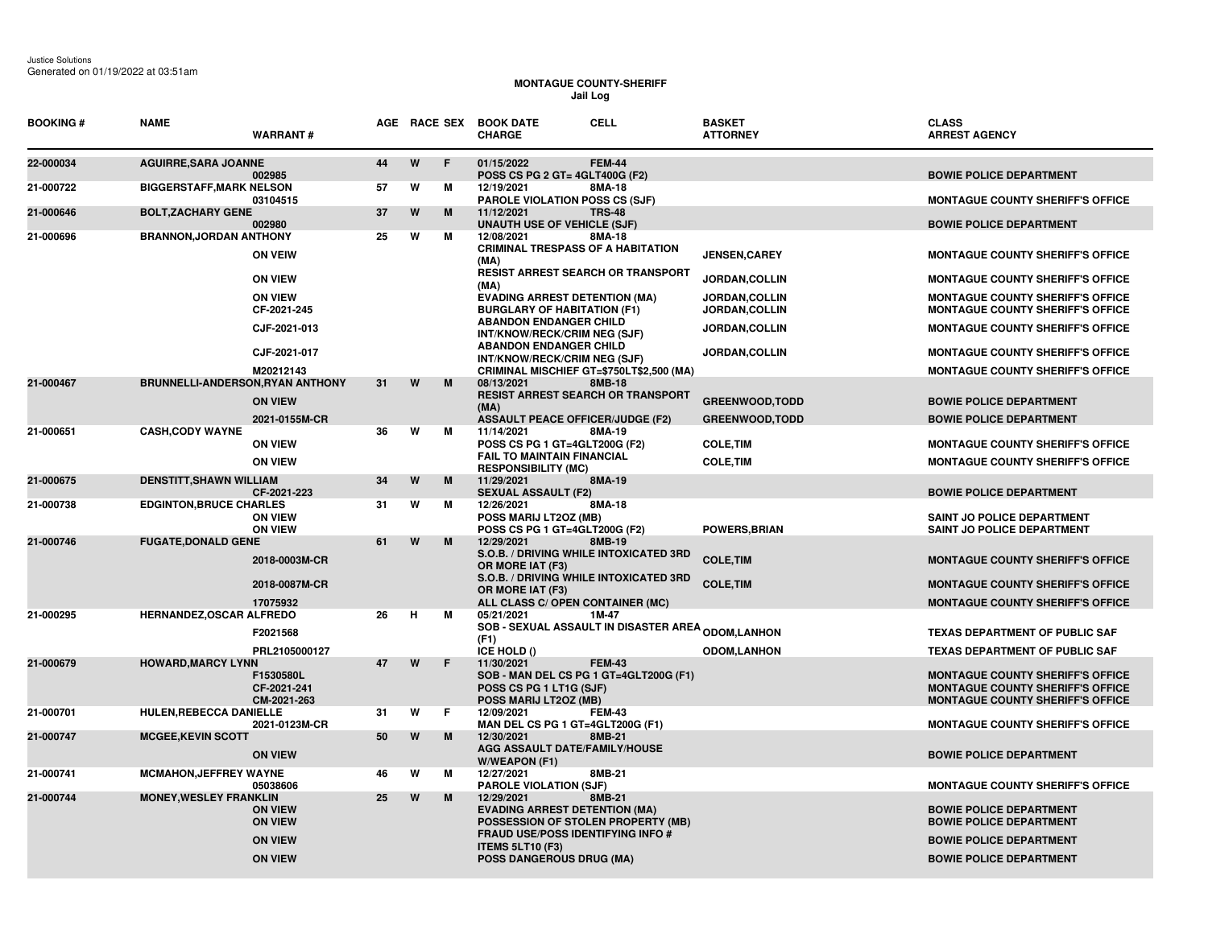## **MONTAGUE COUNTY-SHERIFF Jail Log**

| <b>BOOKING#</b> | <b>NAME</b>                             | <b>WARRANT#</b>                                                      |    |    |           | <b>CELL</b><br>AGE RACE SEX BOOK DATE<br><b>CHARGE</b>                                                                                                                                      |               | <b>BASKET</b><br><b>ATTORNEY</b> | <b>CLASS</b><br><b>ARREST AGENCY</b>                                                                                                 |
|-----------------|-----------------------------------------|----------------------------------------------------------------------|----|----|-----------|---------------------------------------------------------------------------------------------------------------------------------------------------------------------------------------------|---------------|----------------------------------|--------------------------------------------------------------------------------------------------------------------------------------|
| 22-000034       | <b>AGUIRRE, SARA JOANNE</b>             | 002985                                                               | 44 | W  | $\bullet$ | 01/15/2022<br>POSS CS PG 2 GT= 4GLT400G (F2)                                                                                                                                                | <b>FEM-44</b> |                                  | <b>BOWIE POLICE DEPARTMENT</b>                                                                                                       |
| 21-000722       | <b>BIGGERSTAFF, MARK NELSON</b>         | 03104515                                                             | 57 | W  | м         | 12/19/2021<br><b>PAROLE VIOLATION POSS CS (SJF)</b>                                                                                                                                         | 8MA-18        |                                  | <b>MONTAGUE COUNTY SHERIFF'S OFFICE</b>                                                                                              |
| 21-000646       | <b>BOLT.ZACHARY GENE</b>                | 002980                                                               | 37 | W  | M         | 11/12/2021<br><b>UNAUTH USE OF VEHICLE (SJF)</b>                                                                                                                                            | <b>TRS-48</b> |                                  | <b>BOWIE POLICE DEPARTMENT</b>                                                                                                       |
| 21-000696       | <b>BRANNON, JORDAN ANTHONY</b>          | <b>ON VEIW</b>                                                       | 25 | W  | М         | 12/08/2021<br><b>CRIMINAL TRESPASS OF A HABITATION</b><br>(MA)                                                                                                                              | 8MA-18        | <b>JENSEN, CAREY</b>             | <b>MONTAGUE COUNTY SHERIFF'S OFFICE</b>                                                                                              |
|                 |                                         | <b>ON VIEW</b>                                                       |    |    |           | <b>RESIST ARREST SEARCH OR TRANSPORT</b><br>(MA)                                                                                                                                            |               | JORDAN, COLLIN                   | <b>MONTAGUE COUNTY SHERIFF'S OFFICE</b>                                                                                              |
|                 |                                         | <b>ON VIEW</b><br>CF-2021-245                                        |    |    |           | <b>EVADING ARREST DETENTION (MA)</b><br><b>BURGLARY OF HABITATION (F1)</b>                                                                                                                  |               | JORDAN, COLLIN<br>JORDAN, COLLIN | <b>MONTAGUE COUNTY SHERIFF'S OFFICE</b><br>MONTAGUE COUNTY SHERIFF'S OFFICE                                                          |
|                 |                                         | CJF-2021-013                                                         |    |    |           | <b>ABANDON ENDANGER CHILD</b><br>INT/KNOW/RECK/CRIM NEG (SJF)                                                                                                                               |               | <b>JORDAN,COLLIN</b>             | <b>MONTAGUE COUNTY SHERIFF'S OFFICE</b>                                                                                              |
|                 |                                         | CJF-2021-017                                                         |    |    |           | <b>ABANDON ENDANGER CHILD</b><br>INT/KNOW/RECK/CRIM NEG (SJF)                                                                                                                               |               | <b>JORDAN,COLLIN</b>             | <b>MONTAGUE COUNTY SHERIFF'S OFFICE</b>                                                                                              |
| 21-000467       | <b>BRUNNELLI-ANDERSON, RYAN ANTHONY</b> | M20212143                                                            | 31 | W  | M         | CRIMINAL MISCHIEF GT=\$750LT\$2,500 (MA)<br>08/13/2021                                                                                                                                      | 8MB-18        |                                  | <b>MONTAGUE COUNTY SHERIFF'S OFFICE</b>                                                                                              |
|                 |                                         | <b>ON VIEW</b>                                                       |    |    |           | <b>RESIST ARREST SEARCH OR TRANSPORT</b><br>(MA)                                                                                                                                            |               | <b>GREENWOOD, TODD</b>           | <b>BOWIE POLICE DEPARTMENT</b>                                                                                                       |
|                 |                                         | 2021-0155M-CR                                                        |    |    |           | <b>ASSAULT PEACE OFFICER/JUDGE (F2)</b>                                                                                                                                                     |               | <b>GREENWOOD.TODD</b>            | <b>BOWIE POLICE DEPARTMENT</b>                                                                                                       |
| 21-000651       | <b>CASH, CODY WAYNE</b>                 | <b>ON VIEW</b>                                                       | 36 | W  | М         | 11/14/2021<br>POSS CS PG 1 GT=4GLT200G (F2)                                                                                                                                                 | 8MA-19        | <b>COLE, TIM</b>                 | <b>MONTAGUE COUNTY SHERIFF'S OFFICE</b>                                                                                              |
|                 |                                         | <b>ON VIEW</b>                                                       |    |    |           | <b>FAIL TO MAINTAIN FINANCIAL</b><br><b>RESPONSIBILITY (MC)</b>                                                                                                                             |               | <b>COLE, TIM</b>                 | <b>MONTAGUE COUNTY SHERIFF'S OFFICE</b>                                                                                              |
| 21-000675       | <b>DENSTITT, SHAWN WILLIAM</b>          | CF-2021-223                                                          | 34 | W  | M         | 11/29/2021<br><b>SEXUAL ASSAULT (F2)</b>                                                                                                                                                    | 8MA-19        |                                  | <b>BOWIE POLICE DEPARTMENT</b>                                                                                                       |
| 21-000738       | <b>EDGINTON, BRUCE CHARLES</b>          | <b>ON VIEW</b><br><b>ON VIEW</b>                                     | 31 | W  | М         | 12/26/2021<br>POSS MARIJ LT2OZ (MB)<br>POSS CS PG 1 GT=4GLT200G (F2)                                                                                                                        | 8MA-18        | <b>POWERS, BRIAN</b>             | SAINT JO POLICE DEPARTMENT<br>SAINT JO POLICE DEPARTMENT                                                                             |
| 21-000746       | <b>FUGATE, DONALD GENE</b>              | 2018-0003M-CR                                                        | 61 | W  | M         | 12/29/2021<br>S.O.B. / DRIVING WHILE INTOXICATED 3RD<br>OR MORE IAT (F3)                                                                                                                    | 8MB-19        | <b>COLE, TIM</b>                 | <b>MONTAGUE COUNTY SHERIFF'S OFFICE</b>                                                                                              |
|                 |                                         | 2018-0087M-CR                                                        |    |    |           | S.O.B. / DRIVING WHILE INTOXICATED 3RD<br>OR MORE IAT (F3)                                                                                                                                  |               | <b>COLE, TIM</b>                 | <b>MONTAGUE COUNTY SHERIFF'S OFFICE</b>                                                                                              |
| 21-000295       | HERNANDEZ, OSCAR ALFREDO                | 17075932                                                             | 26 | Н. | м         | ALL CLASS C/ OPEN CONTAINER (MC)<br>05/21/2021<br>1M-47                                                                                                                                     |               |                                  | <b>MONTAGUE COUNTY SHERIFF'S OFFICE</b>                                                                                              |
|                 |                                         | F2021568                                                             |    |    |           | <b>SOB - SEXUAL ASSAULT IN DISASTER AREA <sub>ODOM,</sub>LANHON</b><br>(F1)                                                                                                                 |               |                                  | <b>TEXAS DEPARTMENT OF PUBLIC SAF</b>                                                                                                |
|                 |                                         | PRL2105000127                                                        |    |    |           | ICE HOLD ()                                                                                                                                                                                 |               | <b>ODOM,LANHON</b>               | <b>TEXAS DEPARTMENT OF PUBLIC SAF</b>                                                                                                |
| 21-000679       | <b>HOWARD, MARCY LYNN</b>               | F1530580L<br>CF-2021-241<br>CM-2021-263                              | 47 | W  | F         | 11/30/2021<br>SOB - MAN DEL CS PG 1 GT=4GLT200G (F1)<br>POSS CS PG 1 LT1G (SJF)<br>POSS MARIJ LT2OZ (MB)                                                                                    | <b>FEM-43</b> |                                  | <b>MONTAGUE COUNTY SHERIFF'S OFFICE</b><br><b>MONTAGUE COUNTY SHERIFF'S OFFICE</b><br><b>MONTAGUE COUNTY SHERIFF'S OFFICE</b>        |
| 21-000701       | HULEN, REBECCA DANIELLE                 | 2021-0123M-CR                                                        | 31 | W  | F.        | 12/09/2021<br>MAN DEL CS PG 1 GT=4GLT200G (F1)                                                                                                                                              | <b>FEM-43</b> |                                  | <b>MONTAGUE COUNTY SHERIFF'S OFFICE</b>                                                                                              |
| 21-000747       | <b>MCGEE, KEVIN SCOTT</b>               | <b>ON VIEW</b>                                                       | 50 | W  | M         | 12/30/2021<br>AGG ASSAULT DATE/FAMILY/HOUSE<br>W/WEAPON (F1)                                                                                                                                | 8MB-21        |                                  | <b>BOWIE POLICE DEPARTMENT</b>                                                                                                       |
| 21-000741       | <b>MCMAHON, JEFFREY WAYNE</b>           | 05038606                                                             | 46 | W  | М         | 12/27/2021<br><b>PAROLE VIOLATION (SJF)</b>                                                                                                                                                 | 8MB-21        |                                  | <b>MONTAGUE COUNTY SHERIFF'S OFFICE</b>                                                                                              |
| 21-000744       | <b>MONEY, WESLEY FRANKLIN</b>           | <b>ON VIEW</b><br><b>ON VIEW</b><br><b>ON VIEW</b><br><b>ON VIEW</b> | 25 | W  | M         | 12/29/2021<br><b>EVADING ARREST DETENTION (MA)</b><br>POSSESSION OF STOLEN PROPERTY (MB)<br><b>FRAUD USE/POSS IDENTIFYING INFO #</b><br><b>ITEMS 5LT10 (F3)</b><br>POSS DANGEROUS DRUG (MA) | 8MB-21        |                                  | <b>BOWIE POLICE DEPARTMENT</b><br><b>BOWIE POLICE DEPARTMENT</b><br><b>BOWIE POLICE DEPARTMENT</b><br><b>BOWIE POLICE DEPARTMENT</b> |